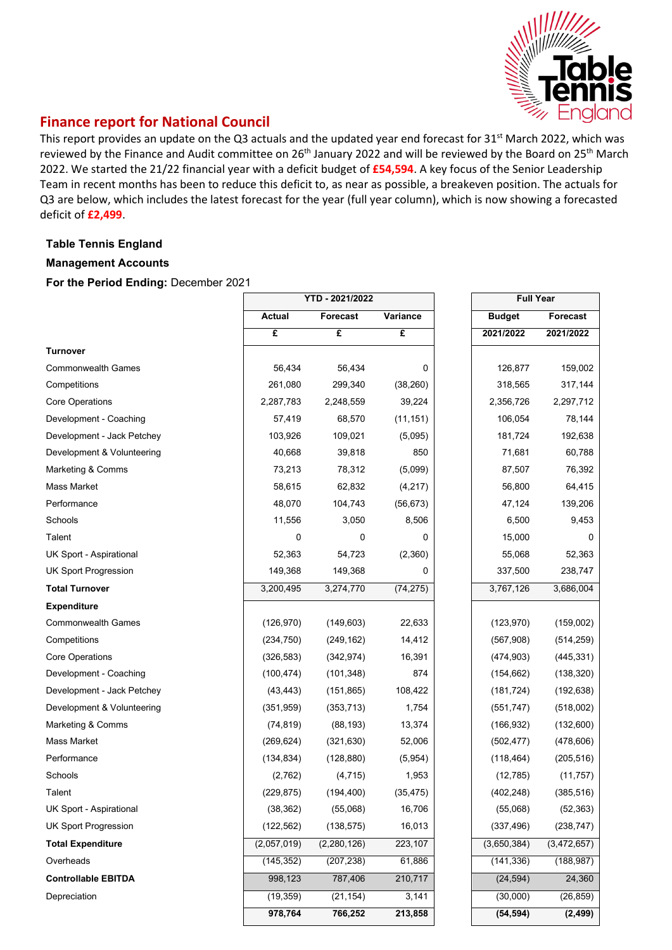

# **Finance report for National Council**

This report provides an update on the Q3 actuals and the updated year end forecast for 31<sup>st</sup> March 2022, which was reviewed by the Finance and Audit committee on 26<sup>th</sup> January 2022 and will be reviewed by the Board on 25<sup>th</sup> March 2022. We started the 21/22 financial year with a deficit budget of **£54,594**. A key focus of the Senior Leadership Team in recent months has been to reduce this deficit to, as near as possible, a breakeven position. The actuals for Q3 are below, which includes the latest forecast for the year (full year column), which is now showing a forecasted deficit of **£2,499**.

## **Table Tennis England**

#### **Management Accounts**

**For the Period Ending:** December 2021

|                             | YTD - 2021/2022 |                             |           | <b>Full Year</b> |                 |
|-----------------------------|-----------------|-----------------------------|-----------|------------------|-----------------|
|                             | <b>Actual</b>   | <b>Forecast</b><br>Variance |           | <b>Budget</b>    | <b>Forecast</b> |
|                             | £               | £                           | £         | 2021/2022        | 2021/2022       |
| <b>Turnover</b>             |                 |                             |           |                  |                 |
| <b>Commonwealth Games</b>   | 56,434          | 56,434                      | 0         | 126,877          | 159,002         |
| Competitions                | 261,080         | 299,340                     | (38, 260) | 318,565          | 317,144         |
| <b>Core Operations</b>      | 2,287,783       | 2,248,559                   | 39,224    | 2,356,726        | 2,297,712       |
| Development - Coaching      | 57,419          | 68,570                      | (11, 151) | 106,054          | 78,144          |
| Development - Jack Petchey  | 103,926         | 109,021                     | (5,095)   | 181,724          | 192,638         |
| Development & Volunteering  | 40,668          | 39,818                      | 850       | 71,681           | 60,788          |
| Marketing & Comms           | 73,213          | 78,312                      | (5,099)   | 87,507           | 76,392          |
| Mass Market                 | 58,615          | 62,832                      | (4, 217)  | 56,800           | 64,415          |
| Performance                 | 48,070          | 104,743                     | (56, 673) | 47,124           | 139,206         |
| Schools                     | 11,556          | 3,050                       | 8,506     | 6,500            | 9,453           |
| Talent                      | 0               | 0                           | 0         | 15,000           | 0               |
| UK Sport - Aspirational     | 52,363          | 54,723                      | (2,360)   | 55,068           | 52,363          |
| <b>UK Sport Progression</b> | 149,368         | 149,368                     | 0         | 337,500          | 238,747         |
| <b>Total Turnover</b>       | 3,200,495       | 3,274,770                   | (74, 275) | 3,767,126        | 3,686,004       |
| <b>Expenditure</b>          |                 |                             |           |                  |                 |
| <b>Commonwealth Games</b>   | (126, 970)      | (149, 603)                  | 22,633    | (123, 970)       | (159,002)       |
| Competitions                | (234, 750)      | (249, 162)                  | 14,412    | (567,908)        | (514, 259)      |
| Core Operations             | (326, 583)      | (342, 974)                  | 16,391    | (474, 903)       | (445, 331)      |
| Development - Coaching      | (100, 474)      | (101, 348)                  | 874       | (154, 662)       | (138, 320)      |
| Development - Jack Petchey  | (43, 443)       | (151, 865)                  | 108,422   | (181, 724)       | (192, 638)      |
| Development & Volunteering  | (351, 959)      | (353, 713)                  | 1,754     | (551, 747)       | (518,002)       |
| Marketing & Comms           | (74, 819)       | (88, 193)                   | 13,374    | (166, 932)       | (132,600)       |
| Mass Market                 | (269, 624)      | (321, 630)                  | 52,006    | (502, 477)       | (478, 606)      |
| Performance                 | (134, 834)      | (128, 880)                  | (5,954)   | (118, 464)       | (205, 516)      |
| Schools                     | (2,762)         | (4, 715)                    | 1,953     | (12, 785)        | (11, 757)       |
| Talent                      | (229, 875)      | (194, 400)                  | (35, 475) | (402, 248)       | (385, 516)      |
| UK Sport - Aspirational     | (38, 362)       | (55,068)                    | 16,706    | (55,068)         | (52, 363)       |
| <b>UK Sport Progression</b> | (122, 562)      | (138, 575)                  | 16,013    | (337, 496)       | (238, 747)      |
| <b>Total Expenditure</b>    | (2,057,019)     | (2,280,126)                 | 223,107   | (3,650,384)      | (3,472,657)     |
| Overheads                   | (145, 352)      | (207, 238)                  | 61,886    | (141, 336)       | (188, 987)      |
| <b>Controllable EBITDA</b>  | 998,123         | 787,406                     | 210,717   | (24, 594)        | 24,360          |
| Depreciation                | (19, 359)       | (21, 154)                   | 3,141     | (30,000)         | (26, 859)       |
|                             | 978,764         | 766,252                     | 213,858   | (54, 594)        | (2, 499)        |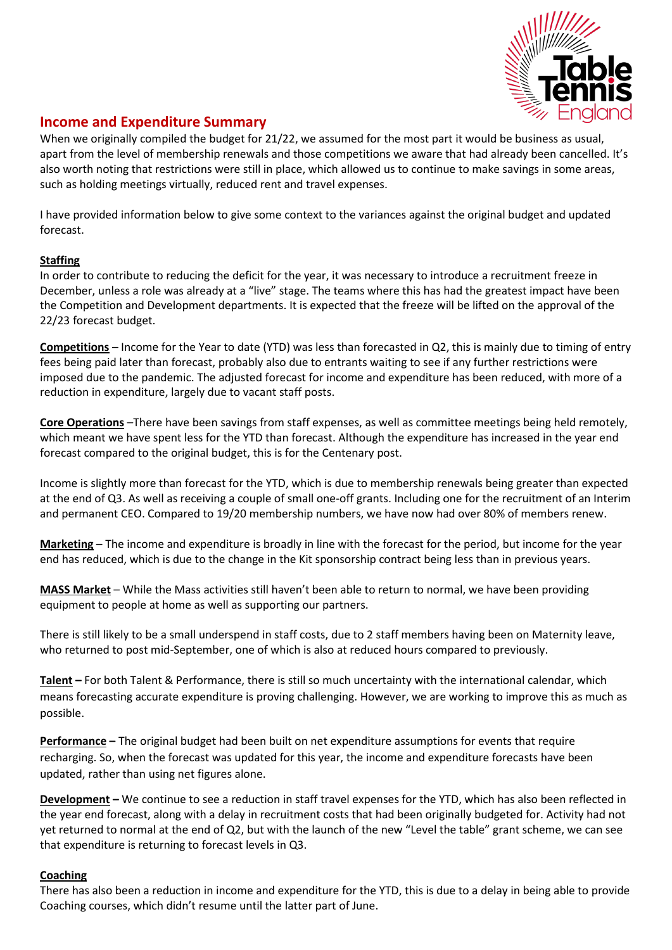

# **Income and Expenditure Summary**

When we originally compiled the budget for 21/22, we assumed for the most part it would be business as usual, apart from the level of membership renewals and those competitions we aware that had already been cancelled. It's also worth noting that restrictions were still in place, which allowed us to continue to make savings in some areas, such as holding meetings virtually, reduced rent and travel expenses.

I have provided information below to give some context to the variances against the original budget and updated forecast.

## **Staffing**

In order to contribute to reducing the deficit for the year, it was necessary to introduce a recruitment freeze in December, unless a role was already at a "live" stage. The teams where this has had the greatest impact have been the Competition and Development departments. It is expected that the freeze will be lifted on the approval of the 22/23 forecast budget.

**Competitions** – Income for the Year to date (YTD) was less than forecasted in Q2, this is mainly due to timing of entry fees being paid later than forecast, probably also due to entrants waiting to see if any further restrictions were imposed due to the pandemic. The adjusted forecast for income and expenditure has been reduced, with more of a reduction in expenditure, largely due to vacant staff posts.

**Core Operations** –There have been savings from staff expenses, as well as committee meetings being held remotely, which meant we have spent less for the YTD than forecast. Although the expenditure has increased in the year end forecast compared to the original budget, this is for the Centenary post.

Income is slightly more than forecast for the YTD, which is due to membership renewals being greater than expected at the end of Q3. As well as receiving a couple of small one-off grants. Including one for the recruitment of an Interim and permanent CEO. Compared to 19/20 membership numbers, we have now had over 80% of members renew.

**Marketing** – The income and expenditure is broadly in line with the forecast for the period, but income for the year end has reduced, which is due to the change in the Kit sponsorship contract being less than in previous years.

**MASS Market** – While the Mass activities still haven't been able to return to normal, we have been providing equipment to people at home as well as supporting our partners.

There is still likely to be a small underspend in staff costs, due to 2 staff members having been on Maternity leave, who returned to post mid-September, one of which is also at reduced hours compared to previously.

**Talent –** For both Talent & Performance, there is still so much uncertainty with the international calendar, which means forecasting accurate expenditure is proving challenging. However, we are working to improve this as much as possible.

**Performance –** The original budget had been built on net expenditure assumptions for events that require recharging. So, when the forecast was updated for this year, the income and expenditure forecasts have been updated, rather than using net figures alone.

**Development –** We continue to see a reduction in staff travel expenses for the YTD, which has also been reflected in the year end forecast, along with a delay in recruitment costs that had been originally budgeted for. Activity had not yet returned to normal at the end of Q2, but with the launch of the new "Level the table" grant scheme, we can see that expenditure is returning to forecast levels in Q3.

## **Coaching**

There has also been a reduction in income and expenditure for the YTD, this is due to a delay in being able to provide Coaching courses, which didn't resume until the latter part of June.